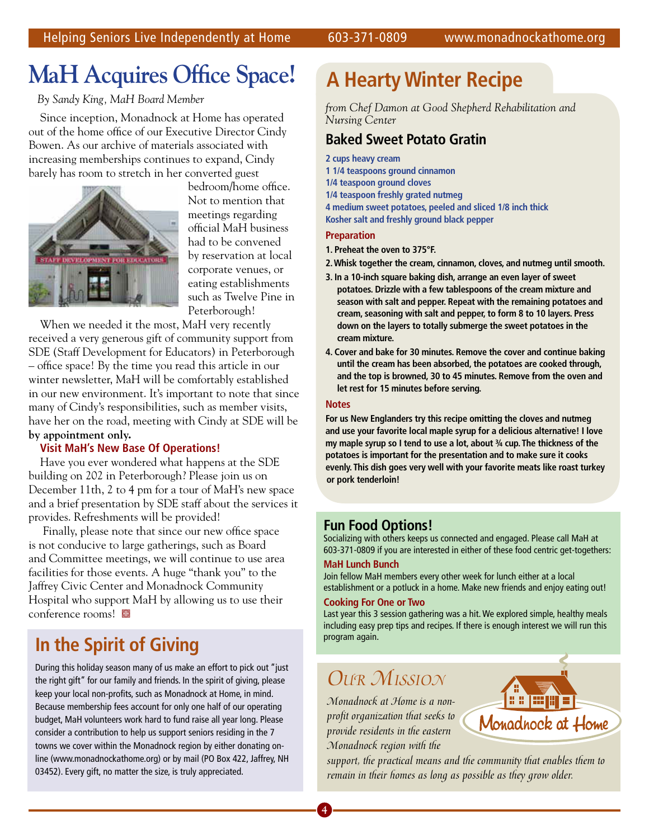## **MaH Acquires Office Space!**

 *By Sandy King, MaH Board Member*

Since inception, Monadnock at Home has operated out of the home office of our Executive Director Cindy Bowen. As our archive of materials associated with increasing memberships continues to expand, Cindy barely has room to stretch in her converted guest



bedroom/home office. Not to mention that meetings regarding official MaH business had to be convened by reservation at local corporate venues, or eating establishments such as Twelve Pine in Peterborough!

When we needed it the most, MaH very recently received a very generous gift of community support from SDE (Staff Development for Educators) in Peterborough – office space! By the time you read this article in our winter newsletter, MaH will be comfortably established in our new environment. It's important to note that since many of Cindy's responsibilities, such as member visits, have her on the road, meeting with Cindy at SDE will be **by appointment only.**

#### **Visit MaH's New Base Of Operations!**

Have you ever wondered what happens at the SDE building on 202 in Peterborough? Please join us on December 11th, 2 to 4 pm for a tour of MaH's new space and a brief presentation by SDE staff about the services it provides. Refreshments will be provided!

 Finally, please note that since our new office space is not conducive to large gatherings, such as Board and Committee meetings, we will continue to use area facilities for those events. A huge "thank you" to the Jaffrey Civic Center and Monadnock Community Hospital who support MaH by allowing us to use their conference rooms!

## **In the Spirit of Giving**

During this holiday season many of us make an effort to pick out "just the right gift" for our family and friends. In the spirit of giving, please keep your local non-profits, such as Monadnock at Home, in mind. Because membership fees account for only one half of our operating budget, MaH volunteers work hard to fund raise all year long. Please consider a contribution to help us support seniors residing in the 7 towns we cover within the Monadnock region by either donating online (www.monadnockathome.org) or by mail (PO Box 422, Jaffrey, NH 03452). Every gift, no matter the size, is truly appreciated.

## **A Hearty Winter Recipe**

*from Chef Damon at Good Shepherd Rehabilitation and Nursing Center*

### **Baked Sweet Potato Gratin**

**2 cups heavy cream 1 1/4 teaspoons ground cinnamon 1/4 teaspoon ground cloves 1/4 teaspoon freshly grated nutmeg 4 medium sweet potatoes, peeled and sliced 1/8 inch thick Kosher salt and freshly ground black pepper**

#### **Preparation**

**1. Preheat the oven to 375°F.** 

- **2. Whisk together the cream, cinnamon, cloves, and nutmeg until smooth.**
- **3. In a 10-inch square baking dish, arrange an even layer of sweet potatoes. Drizzle with a few tablespoons of the cream mixture and season with salt and pepper. Repeat with the remaining potatoes and cream, seasoning with salt and pepper, to form 8 to 10 layers. Press down on the layers to totally submerge the sweet potatoes in the cream mixture.**
- **4. Cover and bake for 30 minutes. Remove the cover and continue baking until the cream has been absorbed, the potatoes are cooked through, and the top is browned, 30 to 45 minutes. Remove from the oven and let rest for 15 minutes before serving.**

#### **Notes**

**For us New Englanders try this recipe omitting the cloves and nutmeg and use your favorite local maple syrup for a delicious alternative! I love my maple syrup so I tend to use a lot, about ¾ cup. The thickness of the potatoes is important for the presentation and to make sure it cooks evenly. This dish goes very well with your favorite meats like roast turkey or pork tenderloin!**

#### **Fun Food Options!**

Socializing with others keeps us connected and engaged. Please call MaH at 603-371-0809 if you are interested in either of these food centric get-togethers:

#### **MaH Lunch Bunch**

Join fellow MaH members every other week for lunch either at a local establishment or a potluck in a home. Make new friends and enjoy eating out!

#### **Cooking For One or Two**

Last year this 3 session gathering was a hit. We explored simple, healthy meals including easy prep tips and recipes. If there is enough interest we will run this program again.

## *Our Mission*

*Monadnock at Home is a nonprofit organization that seeks to provide residents in the eastern Monadnock region with the* 



*support, the practical means and the community that enables them to remain in their homes as long as possible as they grow older.*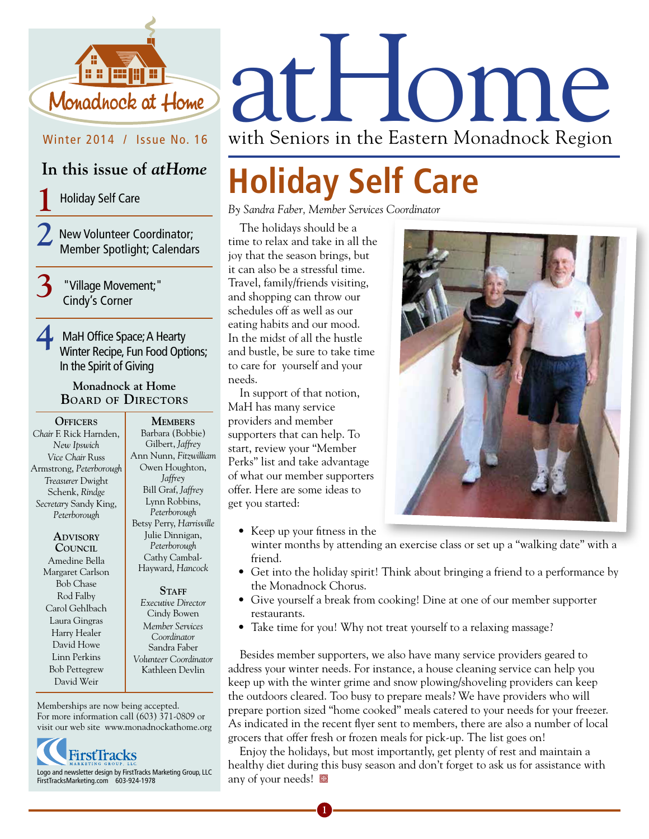

Winter 2014 / Issue No. 16

## **In this issue of** *atHome*

**1** Holiday Self Care

**2** New Volunteer Coordinator; Member Spotlight; Calendars

**3** "Village Movement;" Cindy's Corner

**4** MaH Office Space; A Hearty Winter Recipe, Fun Food Options; In the Spirit of Giving

#### **Monadnock at Home Board of Directors**

**Officers** *Chair* F. Rick Harnden, *New Ipswich Vice Chair* Russ Armstrong, *Peterborough Treasurer* Dwight Schenk, *Rindge Secretary* Sandy King, *Peterborough*

> **Advisory Council** Amedine Bella Margaret Carlson Bob Chase Rod Falby Carol Gehlbach Laura Gingras Harry Healer David Howe Linn Perkins Bob Pettegrew David Weir

**Members** Barbara (Bobbie) Gilbert, *Jaffrey* Ann Nunn, *Fitzwilliam* Owen Houghton, *Jaffrey* Bill Graf, *Jaffrey* Lynn Robbins, *Peterborough* Betsy Perry, *Harrisville*  Julie Dinnigan, *Peterborough* Cathy Cambal-Hayward, *Hancock*

#### STAFF

*Executive Director* Cindy Bowen *Member Services Coordinator*  Sandra Faber *Volunteer Coordinator*  Kathleen Devlin

Memberships are now being accepted. For more information call (603) 371-0809 or visit our web site www.monadnockathome.org



Monadhock at Home at HOMP

with Seniors in the Eastern Monadnock Region

# **Holiday Self Care**

*By Sandra Faber, Member Services Coordinator*

The holidays should be a time to relax and take in all the joy that the season brings, but it can also be a stressful time. Travel, family/friends visiting, and shopping can throw our schedules off as well as our eating habits and our mood. In the midst of all the hustle and bustle, be sure to take time to care for yourself and your needs.

In support of that notion, MaH has many service providers and member supporters that can help. To start, review your "Member Perks" list and take advantage of what our member supporters offer. Here are some ideas to get you started:

• Keep up your fitness in the



winter months by attending an exercise class or set up a "walking date" with a friend.

- Get into the holiday spirit! Think about bringing a friend to a performance by the Monadnock Chorus.
- Give yourself a break from cooking! Dine at one of our member supporter restaurants.
- Take time for you! Why not treat yourself to a relaxing massage?

Besides member supporters, we also have many service providers geared to address your winter needs. For instance, a house cleaning service can help you keep up with the winter grime and snow plowing/shoveling providers can keep the outdoors cleared. Too busy to prepare meals? We have providers who will prepare portion sized "home cooked" meals catered to your needs for your freezer. As indicated in the recent flyer sent to members, there are also a number of local grocers that offer fresh or frozen meals for pick-up. The list goes on!

Enjoy the holidays, but most importantly, get plenty of rest and maintain a healthy diet during this busy season and don't forget to ask us for assistance with any of your needs!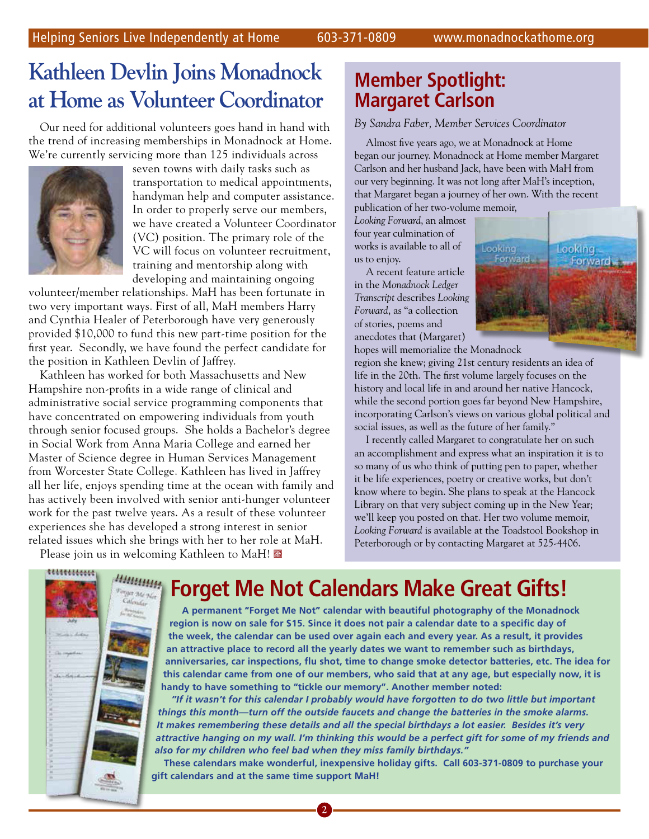## **Kathleen Devlin Joins Monadnock at Home as Volunteer Coordinator**

Our need for additional volunteers goes hand in hand with the trend of increasing memberships in Monadnock at Home. We're currently servicing more than 125 individuals across



seven towns with daily tasks such as transportation to medical appointments, handyman help and computer assistance. In order to properly serve our members, we have created a Volunteer Coordinator (VC) position. The primary role of the VC will focus on volunteer recruitment, training and mentorship along with developing and maintaining ongoing

volunteer/member relationships. MaH has been fortunate in two very important ways. First of all, MaH members Harry and Cynthia Healer of Peterborough have very generously provided \$10,000 to fund this new part-time position for the first year. Secondly, we have found the perfect candidate for the position in Kathleen Devlin of Jaffrey.

Kathleen has worked for both Massachusetts and New Hampshire non-profits in a wide range of clinical and administrative social service programming components that have concentrated on empowering individuals from youth through senior focused groups. She holds a Bachelor's degree in Social Work from Anna Maria College and earned her Master of Science degree in Human Services Management from Worcester State College. Kathleen has lived in Jaffrey all her life, enjoys spending time at the ocean with family and has actively been involved with senior anti-hunger volunteer work for the past twelve years. As a result of these volunteer experiences she has developed a strong interest in senior related issues which she brings with her to her role at MaH.

Please join us in welcoming Kathleen to MaH!

## **Member Spotlight: Margaret Carlson**

*By Sandra Faber, Member Services Coordinator*

Almost five years ago, we at Monadnock at Home began our journey. Monadnock at Home member Margaret Carlson and her husband Jack, have been with MaH from our very beginning. It was not long after MaH's inception, that Margaret began a journey of her own. With the recent publication of her two-volume memoir,

*Looking Forward*, an almost four year culmination of works is available to all of us to enjoy.

A recent feature article in the *Monadnock Ledger Transcript* describes *Looking Forward*, as "a collection of stories, poems and anecdotes that (Margaret)



hopes will memorialize the Monadnock

region she knew; giving 21st century residents an idea of life in the 20th. The first volume largely focuses on the history and local life in and around her native Hancock, while the second portion goes far beyond New Hampshire, incorporating Carlson's views on various global political and social issues, as well as the future of her family."

I recently called Margaret to congratulate her on such an accomplishment and express what an inspiration it is to so many of us who think of putting pen to paper, whether it be life experiences, poetry or creative works, but don't know where to begin. She plans to speak at the Hancock Library on that very subject coming up in the New Year; we'll keep you posted on that. Her two volume memoir, *Looking Forward* is available at the Toadstool Bookshop in Peterborough or by contacting Margaret at 525-4406.



## **Forget Me Not Calendars Make Great Gifts!**

**A permanent "Forget Me Not" calendar with beautiful photography of the Monadnock region is now on sale for \$15. Since it does not pair a calendar date to a specific day of the week, the calendar can be used over again each and every year. As a result, it provides an attractive place to record all the yearly dates we want to remember such as birthdays, anniversaries, car inspections, flu shot, time to change smoke detector batteries, etc. The idea for this calendar came from one of our members, who said that at any age, but especially now, it is handy to have something to "tickle our memory". Another member noted:**

*"If it wasn't for this calendar I probably would have forgotten to do two little but important things this month—turn off the outside faucets and change the batteries in the smoke alarms. It makes remembering these details and all the special birthdays a lot easier. Besides it's very attractive hanging on my wall. I'm thinking this would be a perfect gift for some of my friends and also for my children who feel bad when they miss family birthdays."*

**These calendars make wonderful, inexpensive holiday gifts. Call 603-371-0809 to purchase your gift calendars and at the same time support MaH!**